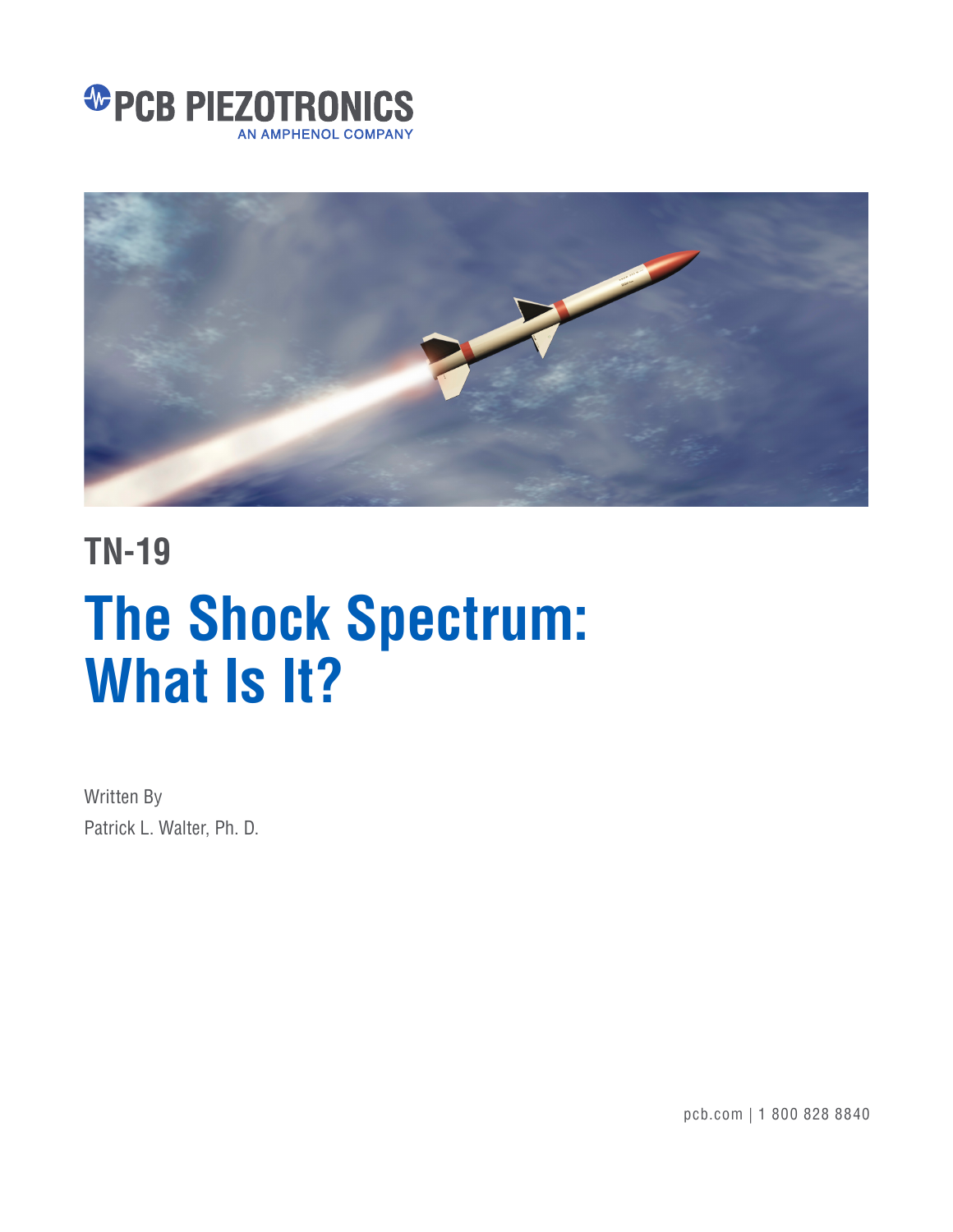



## **TN-19**

# **The Shock Spectrum: What Is It?**

Written By Patrick L. Walter, Ph. D.

pcb.com | 1 800 828 8840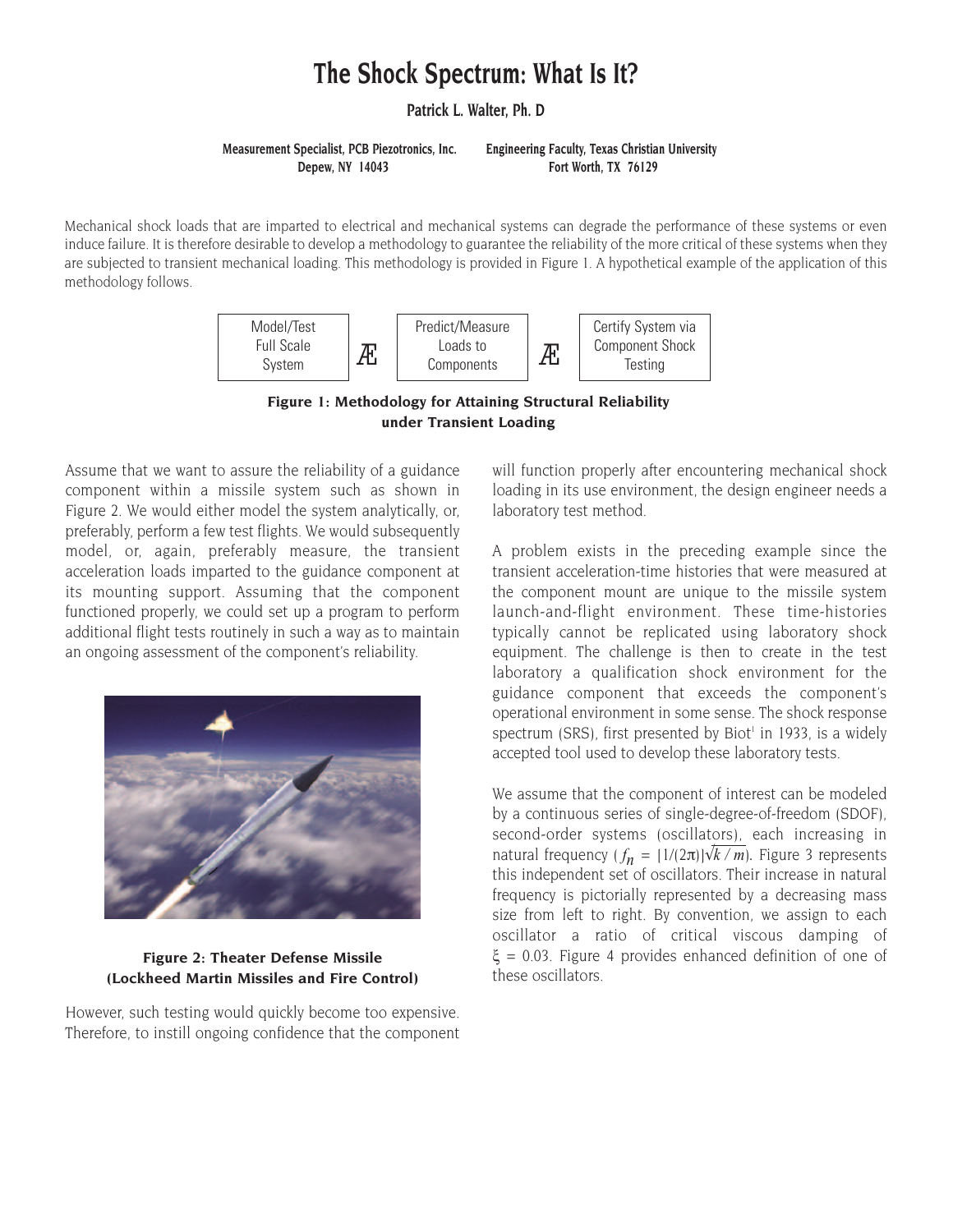### **The Shock Spectrum: What Is It?**

**Patrick L. Walter, Ph. D**

**Measurement Specialist, PCB Piezotronics, Inc. Engineering Faculty, Texas Christian University Depew, NY 14043 Fort Worth, TX 76129** 

Mechanical shock loads that are imparted to electrical and mechanical systems can degrade the performance of these systems or even induce failure. It is therefore desirable to develop a methodology to guarantee the reliability of the more critical of these systems when they are subjected to transient mechanical loading. This methodology is provided in Figure 1. A hypothetical example of the application of this methodology follows.



**Figure 1: Methodology for Attaining Structural Reliability under Transient Loading**

Assume that we want to assure the reliability of a guidance component within a missile system such as shown in Figure 2. We would either model the system analytically, or, preferably, perform a few test flights. We would subsequently model, or, again, preferably measure, the transient acceleration loads imparted to the guidance component at its mounting support. Assuming that the component functioned properly, we could set up a program to perform additional flight tests routinely in such a way as to maintain an ongoing assessment of the component's reliability.



#### **Figure 2: Theater Defense Missile (Lockheed Martin Missiles and Fire Control)**

However, such testing would quickly become too expensive. Therefore, to instill ongoing confidence that the component will function properly after encountering mechanical shock loading in its use environment, the design engineer needs a laboratory test method.

A problem exists in the preceding example since the transient acceleration-time histories that were measured at the component mount are unique to the missile system launch-and-flight environment. These time-histories typically cannot be replicated using laboratory shock equipment. The challenge is then to create in the test laboratory a qualification shock environment for the guidance component that exceeds the component's operational environment in some sense. The shock response spectrum (SRS), first presented by Biot<sup>1</sup> in 1933, is a widely accepted tool used to develop these laboratory tests.

We assume that the component of interest can be modeled by a continuous series of single-degree-of-freedom (SDOF), second-order systems (oscillators), each increasing in natural frequency  $(f_n = [1/(2\pi)]\sqrt{k/m})$ . Figure 3 represents this independent set of oscillators. Their increase in natural frequency is pictorially represented by a decreasing mass size from left to right. By convention, we assign to each oscillator a ratio of critical viscous damping of ξ = 0.03. Figure 4 provides enhanced definition of one of these oscillators.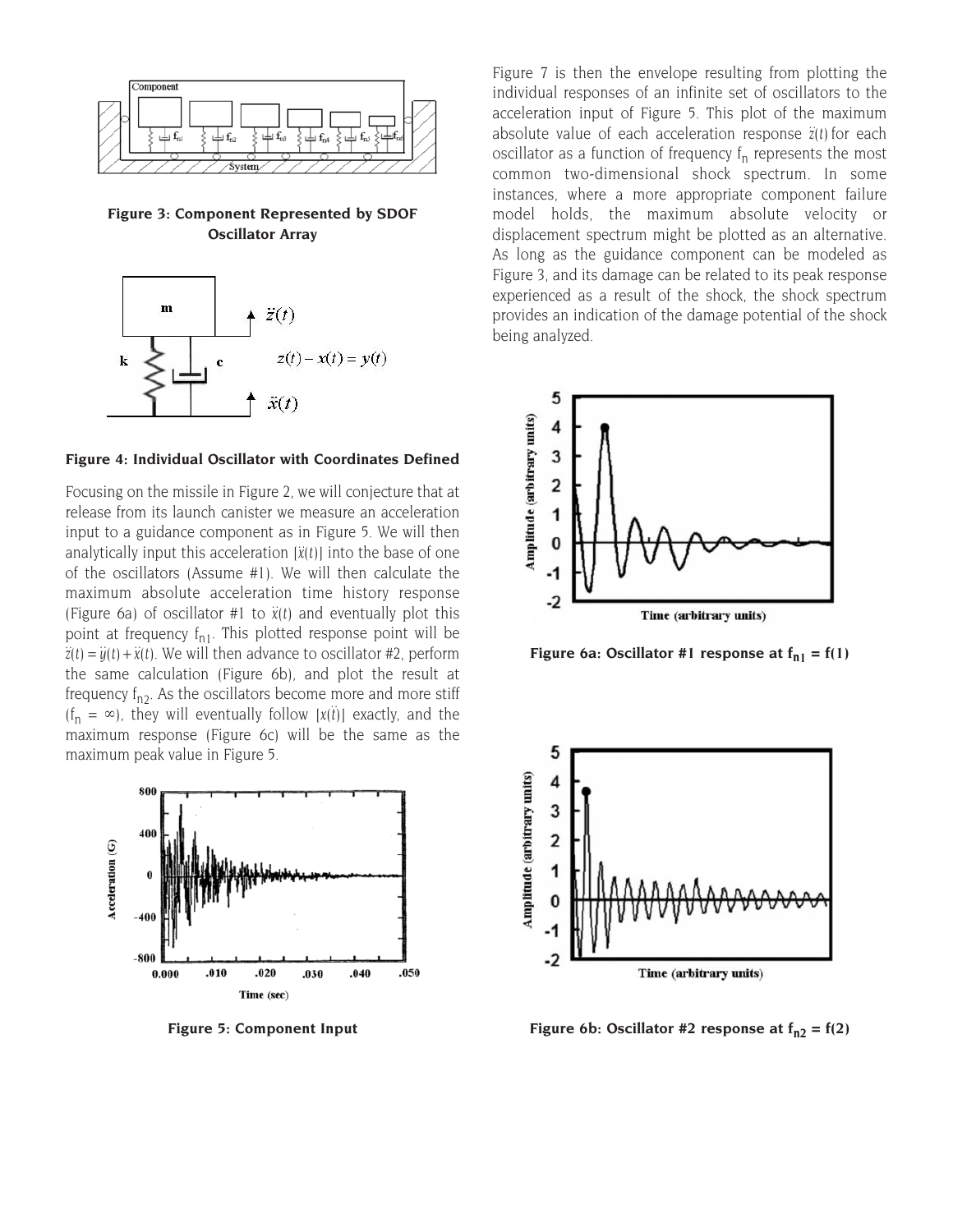

**Figure 3: Component Represented by SDOF Oscillator Array**



#### **Figure 4: Individual Oscillator with Coordinates Defined**

Focusing on the missile in Figure 2, we will conjecture that at release from its launch canister we measure an acceleration input to a guidance component as in Figure 5. We will then analytically input this acceleration  $\ddot{x}(t)$  into the base of one of the oscillators (Assume #1). We will then calculate the maximum absolute acceleration time history response (Figure 6a) of oscillator #1 to  $\ddot{x}(t)$  and eventually plot this point at frequency  $f_{n1}$ . This plotted response point will be  $\ddot{z}(t) = \ddot{y}(t) + \ddot{x}(t)$ . We will then advance to oscillator #2, perform the same calculation (Figure 6b), and plot the result at frequency  $f_{n2}$ . As the oscillators become more and more stiff  $(f_n = \infty)$ , they will eventually follow  $[x(t)]$  exactly, and the maximum response (Figure 6c) will be the same as the maximum peak value in Figure 5.



**Figure 5: Component Input**

Figure 7 is then the envelope resulting from plotting the individual responses of an infinite set of oscillators to the acceleration input of Figure 5. This plot of the maximum absolute value of each acceleration response *z(t)* for each :oscillator as a function of frequency  $f_n$  represents the most common two-dimensional shock spectrum. In some instances, where a more appropriate component failure model holds, the maximum absolute velocity or displacement spectrum might be plotted as an alternative. As long as the guidance component can be modeled as Figure 3, and its damage can be related to its peak response experienced as a result of the shock, the shock spectrum provides an indication of the damage potential of the shock being analyzed.



Figure 6a: Oscillator #1 response at  $f_{n1} = f(1)$ 



Figure 6b: Oscillator #2 response at  $f_{n2} = f(2)$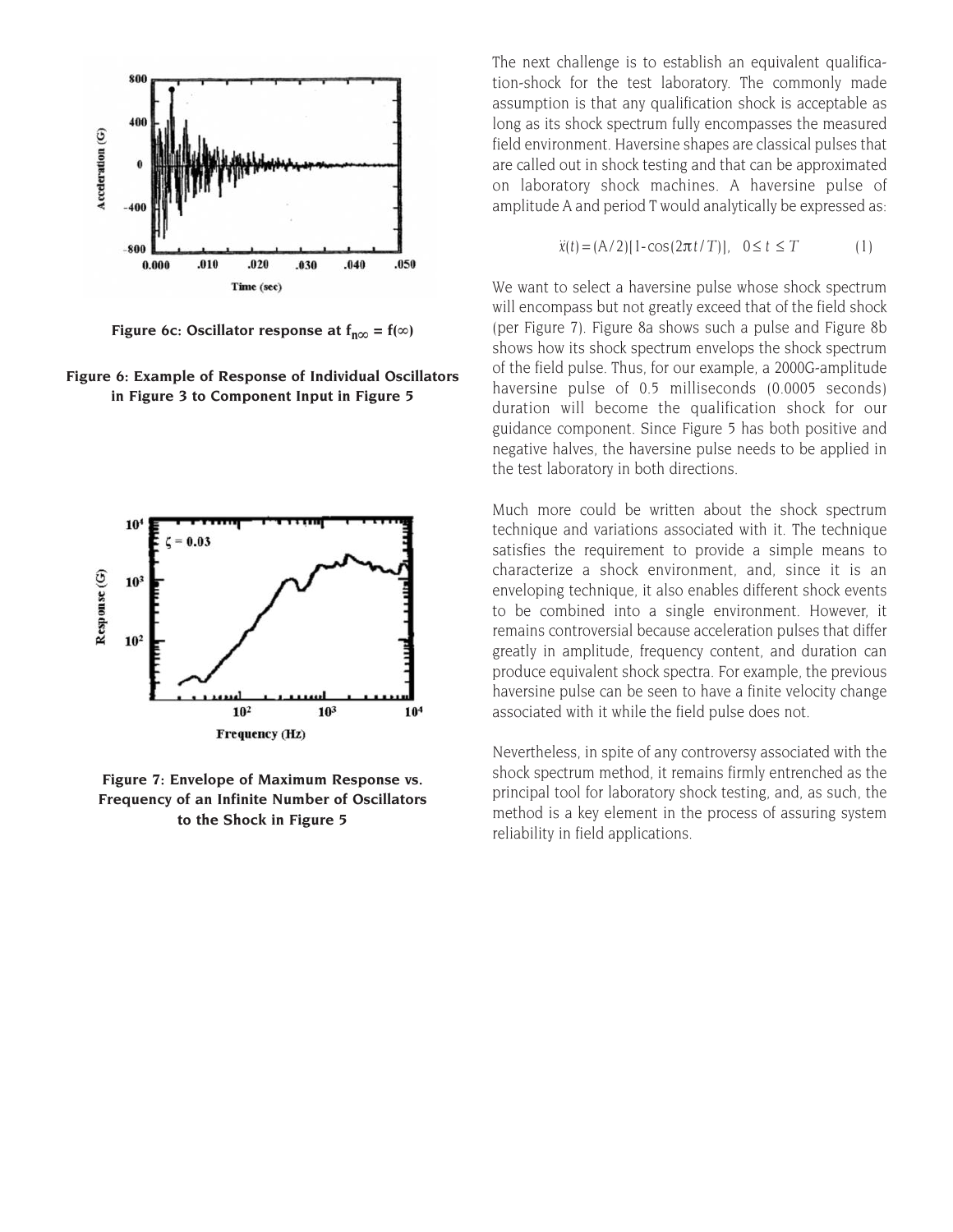

**Figure 6c: Oscillator response at**  $f_{n\infty} = f(\infty)$ 

**Figure 6: Example of Response of Individual Oscillators in Figure 3 to Component Input in Figure 5**



**Figure 7: Envelope of Maximum Response vs. Frequency of an Infinite Number of Oscillators to the Shock in Figure 5** 

The next challenge is to establish an equivalent qualification-shock for the test laboratory. The commonly made assumption is that any qualification shock is acceptable as long as its shock spectrum fully encompasses the measured field environment. Haversine shapes are classical pulses that are called out in shock testing and that can be approximated on laboratory shock machines. A haversine pulse of amplitude A and period T would analytically be expressed as:

$$
\ddot{x}(t) = (A/2)[1 - \cos(2\pi t/T)], \quad 0 \le t \le T
$$
 (1)

We want to select a haversine pulse whose shock spectrum will encompass but not greatly exceed that of the field shock (per Figure 7). Figure 8a shows such a pulse and Figure 8b shows how its shock spectrum envelops the shock spectrum of the field pulse. Thus, for our example, a 2000G-amplitude haversine pulse of 0.5 milliseconds (0.0005 seconds) duration will become the qualification shock for our guidance component. Since Figure 5 has both positive and negative halves, the haversine pulse needs to be applied in the test laboratory in both directions.

Much more could be written about the shock spectrum technique and variations associated with it. The technique satisfies the requirement to provide a simple means to characterize a shock environment, and, since it is an enveloping technique, it also enables different shock events to be combined into a single environment. However, it remains controversial because acceleration pulses that differ greatly in amplitude, frequency content, and duration can produce equivalent shock spectra. For example, the previous haversine pulse can be seen to have a finite velocity change associated with it while the field pulse does not.

Nevertheless, in spite of any controversy associated with the shock spectrum method, it remains firmly entrenched as the principal tool for laboratory shock testing, and, as such, the method is a key element in the process of assuring system reliability in field applications.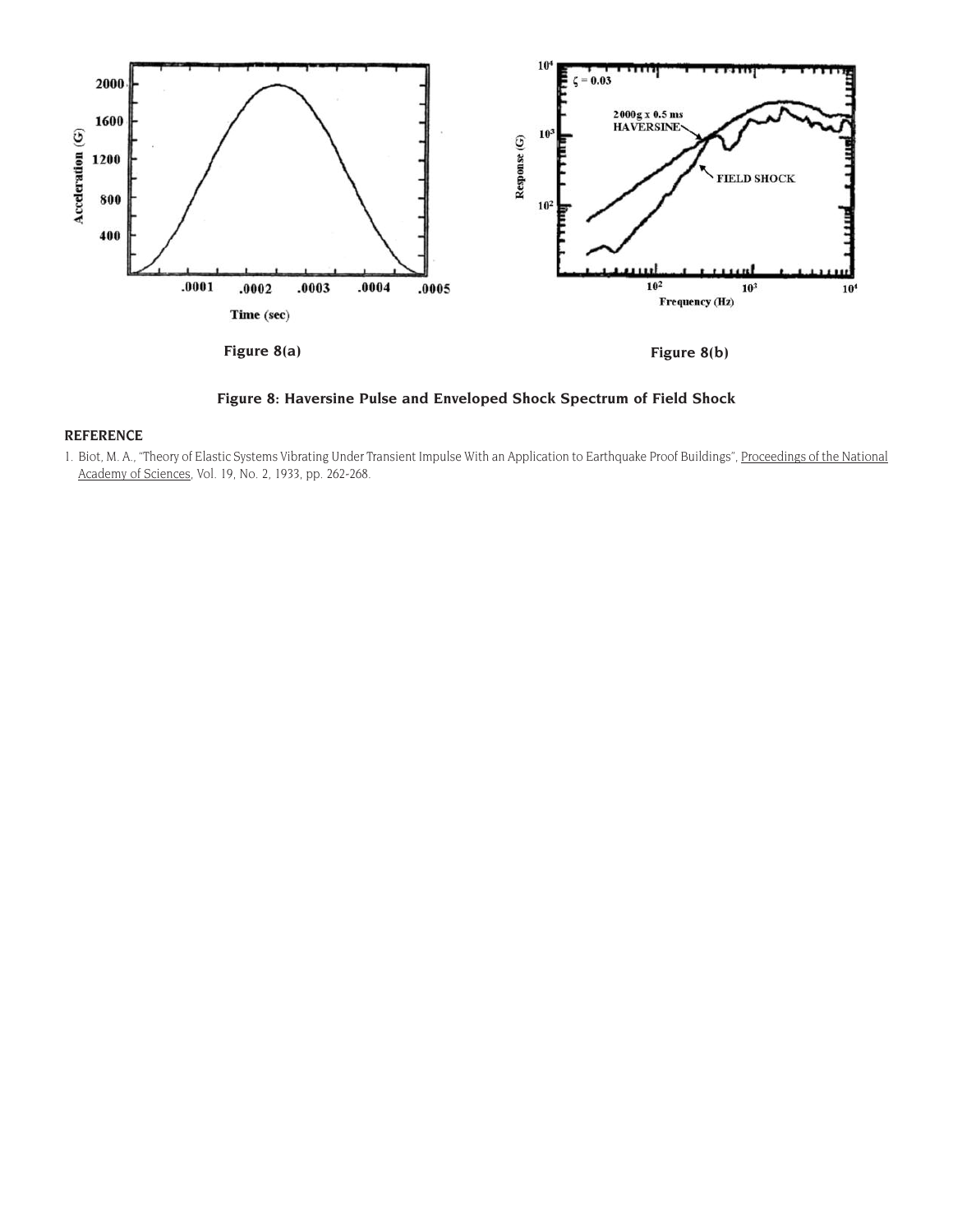

**Figure 8: Haversine Pulse and Enveloped Shock Spectrum of Field Shock**

#### **REFERENCE**

1. Biot, M. A., "Theory of Elastic Systems Vibrating Under Transient Impulse With an Application to Earthquake Proof Buildings", Proceedings of the National Academy of Sciences, Vol. 19, No. 2, 1933, pp. 262-268.